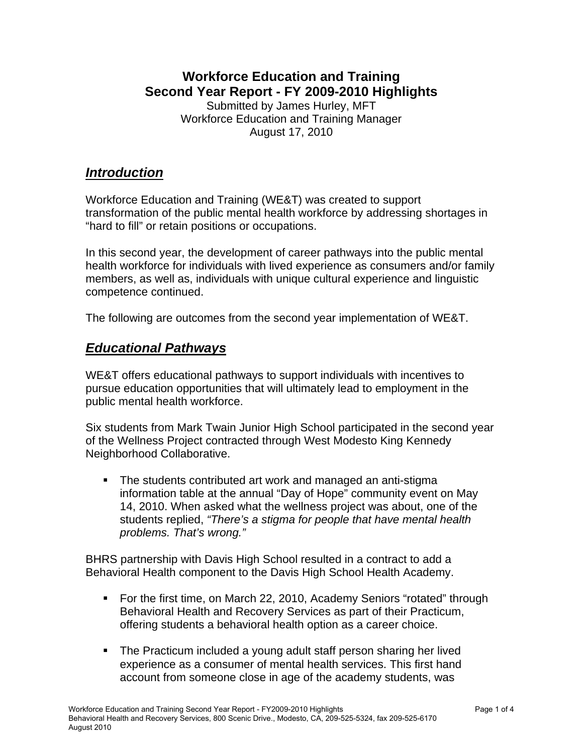#### **Workforce Education and Training Second Year Report - FY 2009-2010 Highlights**  Submitted by James Hurley, MFT Workforce Education and Training Manager August 17, 2010

### *Introduction*

Workforce Education and Training (WE&T) was created to support transformation of the public mental health workforce by addressing shortages in "hard to fill" or retain positions or occupations.

In this second year, the development of career pathways into the public mental health workforce for individuals with lived experience as consumers and/or family members, as well as, individuals with unique cultural experience and linguistic competence continued.

The following are outcomes from the second year implementation of WE&T.

## *Educational Pathways*

WE&T offers educational pathways to support individuals with incentives to pursue education opportunities that will ultimately lead to employment in the public mental health workforce.

Six students from Mark Twain Junior High School participated in the second year of the Wellness Project contracted through West Modesto King Kennedy Neighborhood Collaborative.

 The students contributed art work and managed an anti-stigma information table at the annual "Day of Hope" community event on May 14, 2010. When asked what the wellness project was about, one of the students replied, *"There's a stigma for people that have mental health problems. That's wrong."* 

BHRS partnership with Davis High School resulted in a contract to add a Behavioral Health component to the Davis High School Health Academy.

- For the first time, on March 22, 2010, Academy Seniors "rotated" through Behavioral Health and Recovery Services as part of their Practicum, offering students a behavioral health option as a career choice.
- The Practicum included a young adult staff person sharing her lived experience as a consumer of mental health services. This first hand account from someone close in age of the academy students, was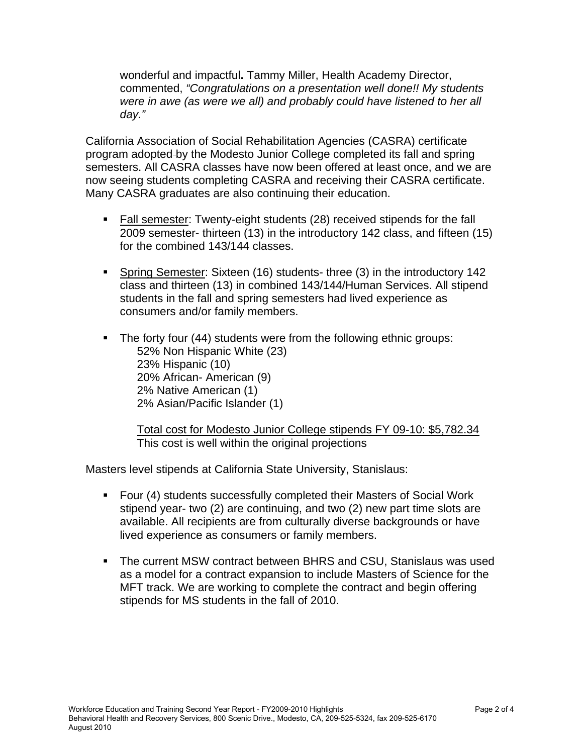wonderful and impactful**.** Tammy Miller, Health Academy Director, commented, *"Congratulations on a presentation well done!! My students were in awe (as were we all) and probably could have listened to her all day."*

California Association of Social Rehabilitation Agencies (CASRA) certificate program adopted by the Modesto Junior College completed its fall and spring semesters. All CASRA classes have now been offered at least once, and we are now seeing students completing CASRA and receiving their CASRA certificate. Many CASRA graduates are also continuing their education.

- **Fall semester:** Twenty-eight students (28) received stipends for the fall 2009 semester- thirteen (13) in the introductory 142 class, and fifteen (15) for the combined 143/144 classes.
- Spring Semester: Sixteen (16) students- three (3) in the introductory 142 class and thirteen (13) in combined 143/144/Human Services. All stipend students in the fall and spring semesters had lived experience as consumers and/or family members.
- **The forty four (44) students were from the following ethnic groups:** 52% Non Hispanic White (23) 23% Hispanic (10) 20% African- American (9) 2% Native American (1) 2% Asian/Pacific Islander (1)

 Total cost for Modesto Junior College stipends FY 09-10: \$5,782.34 This cost is well within the original projections

Masters level stipends at California State University, Stanislaus:

- Four (4) students successfully completed their Masters of Social Work stipend year- two (2) are continuing, and two (2) new part time slots are available. All recipients are from culturally diverse backgrounds or have lived experience as consumers or family members.
- The current MSW contract between BHRS and CSU, Stanislaus was used as a model for a contract expansion to include Masters of Science for the MFT track. We are working to complete the contract and begin offering stipends for MS students in the fall of 2010.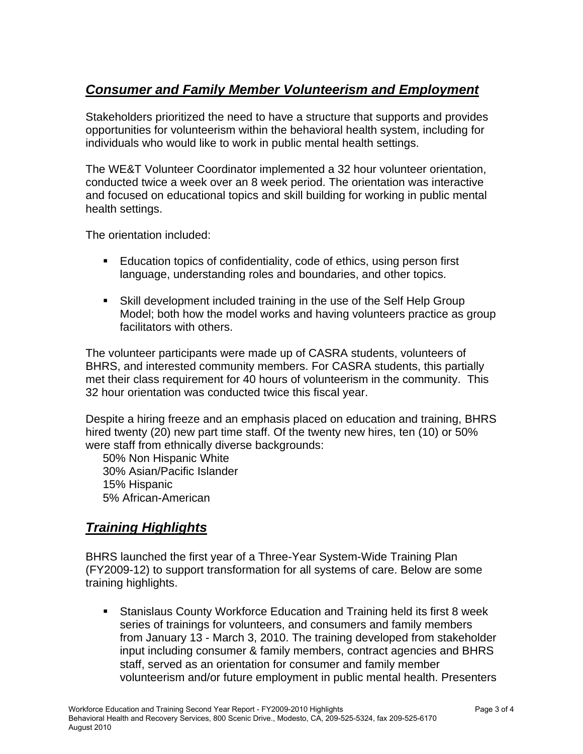# *Consumer and Family Member Volunteerism and Employment*

Stakeholders prioritized the need to have a structure that supports and provides opportunities for volunteerism within the behavioral health system, including for individuals who would like to work in public mental health settings.

The WE&T Volunteer Coordinator implemented a 32 hour volunteer orientation, conducted twice a week over an 8 week period. The orientation was interactive and focused on educational topics and skill building for working in public mental health settings.

The orientation included:

- **Education topics of confidentiality, code of ethics, using person first** language, understanding roles and boundaries, and other topics.
- Skill development included training in the use of the Self Help Group Model; both how the model works and having volunteers practice as group facilitators with others.

The volunteer participants were made up of CASRA students, volunteers of BHRS, and interested community members. For CASRA students, this partially met their class requirement for 40 hours of volunteerism in the community. This 32 hour orientation was conducted twice this fiscal year.

Despite a hiring freeze and an emphasis placed on education and training, BHRS hired twenty (20) new part time staff. Of the twenty new hires, ten (10) or 50% were staff from ethnically diverse backgrounds:

50% Non Hispanic White 30% Asian/Pacific Islander 15% Hispanic 5% African-American

## *Training Highlights*

BHRS launched the first year of a Three-Year System-Wide Training Plan (FY2009-12) to support transformation for all systems of care. Below are some training highlights.

 Stanislaus County Workforce Education and Training held its first 8 week series of trainings for volunteers, and consumers and family members from January 13 - March 3, 2010. The training developed from stakeholder input including consumer & family members, contract agencies and BHRS staff, served as an orientation for consumer and family member volunteerism and/or future employment in public mental health. Presenters